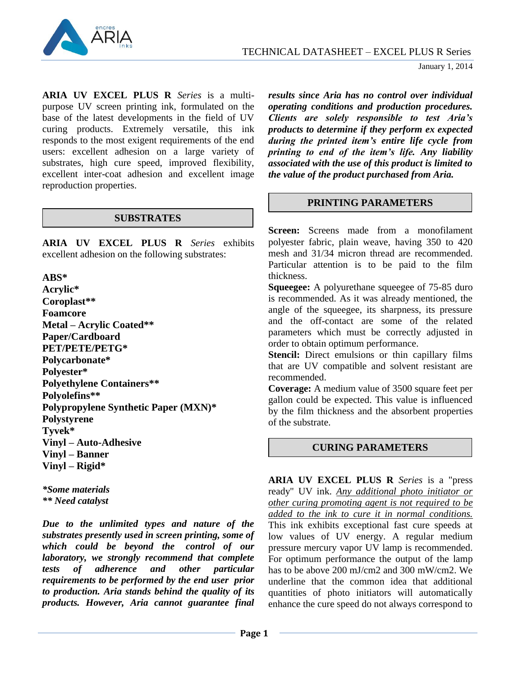

**ARIA UV EXCEL PLUS R** *Series* is a multipurpose UV screen printing ink, formulated on the base of the latest developments in the field of UV curing products. Extremely versatile, this ink responds to the most exigent requirements of the end users: excellent adhesion on a large variety of substrates, high cure speed, improved flexibility, excellent inter-coat adhesion and excellent image reproduction properties.

### **SUBSTRATES**

**ARIA UV EXCEL PLUS R** *Series* exhibits excellent adhesion on the following substrates:

### **ABS\***

**Acrylic\* Coroplast\*\* Foamcore Metal – Acrylic Coated\*\* Paper/Cardboard PET/PETE/PETG\* Polycarbonate\* Polyester\* Polyethylene Containers\*\* Polyolefins\*\* Polypropylene Synthetic Paper (MXN)\* Polystyrene Tyvek\* Vinyl – Auto-Adhesive Vinyl – Banner Vinyl – Rigid\***

*\*Some materials \*\* Need catalyst*

*Due to the unlimited types and nature of the substrates presently used in screen printing, some of which could be beyond the control of our laboratory, we strongly recommend that complete tests of adherence and other particular requirements to be performed by the end user prior to production. Aria stands behind the quality of its products. However, Aria cannot guarantee final* 

*results since Aria has no control over individual operating conditions and production procedures. Clients are solely responsible to test Aria's products to determine if they perform ex expected during the printed item's entire life cycle from printing to end of the item's life. Any liability associated with the use of this product is limited to the value of the product purchased from Aria.*

## **PRINTING PARAMETERS**

**Screen:** Screens made from a monofilament polyester fabric, plain weave, having 350 to 420 mesh and 31/34 micron thread are recommended. Particular attention is to be paid to the film thickness.

**Squeegee:** A polyurethane squeegee of 75-85 duro is recommended. As it was already mentioned, the angle of the squeegee, its sharpness, its pressure and the off-contact are some of the related parameters which must be correctly adjusted in order to obtain optimum performance.

**Stencil:** Direct emulsions or thin capillary films that are UV compatible and solvent resistant are recommended.

**Coverage:** A medium value of 3500 square feet per gallon could be expected. This value is influenced by the film thickness and the absorbent properties of the substrate.

## **CURING PARAMETERS**

**ARIA UV EXCEL PLUS R** *Series* is a "press ready" UV ink. *Any additional photo initiator or other curing promoting agent is not required to be added to the ink to cure it in normal conditions.*  This ink exhibits exceptional fast cure speeds at low values of UV energy. A regular medium pressure mercury vapor UV lamp is recommended. For optimum performance the output of the lamp has to be above 200 mJ/cm2 and 300 mW/cm2. We underline that the common idea that additional quantities of photo initiators will automatically enhance the cure speed do not always correspond to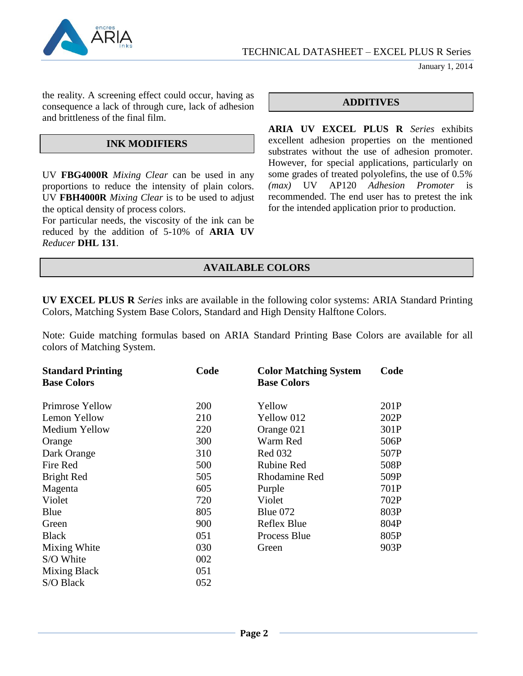

January 1, 2014

the reality. A screening effect could occur, having as consequence a lack of through cure, lack of adhesion and brittleness of the final film.

## **INK MODIFIERS**

UV **FBG4000R** *Mixing Clear* can be used in any proportions to reduce the intensity of plain colors. UV **FBH4000R** *Mixing Clear* is to be used to adjust the optical density of process colors.

For particular needs, the viscosity of the ink can be reduced by the addition of 5-10% of **ARIA UV** *Reducer* **DHL 131**.

## **ADDITIVES**

**ARIA UV EXCEL PLUS R** *Series* exhibits excellent adhesion properties on the mentioned substrates without the use of adhesion promoter. However, for special applications, particularly on some grades of treated polyolefins, the use of 0.5*% (max)* UV AP120 *Adhesion Promoter* is recommended. The end user has to pretest the ink for the intended application prior to production.

# **AVAILABLE COLORS**

**UV EXCEL PLUS R** *Series* inks are available in the following color systems: ARIA Standard Printing Colors, Matching System Base Colors, Standard and High Density Halftone Colors.

Note: Guide matching formulas based on ARIA Standard Printing Base Colors are available for all colors of Matching System.

| <b>Standard Printing</b> | Code       | <b>Color Matching System</b> | Code |
|--------------------------|------------|------------------------------|------|
| <b>Base Colors</b>       |            | <b>Base Colors</b>           |      |
| Primrose Yellow          | <b>200</b> | Yellow                       | 201P |
| Lemon Yellow             | 210        | Yellow 012                   | 202P |
|                          |            |                              |      |
| Medium Yellow            | 220        | Orange 021                   | 301P |
| Orange                   | 300        | Warm Red                     | 506P |
| Dark Orange              | 310        | <b>Red 032</b>               | 507P |
| Fire Red                 | 500        | <b>Rubine Red</b>            | 508P |
| Bright Red               | 505        | Rhodamine Red                | 509P |
| Magenta                  | 605        | Purple                       | 701P |
| Violet                   | 720        | Violet                       | 702P |
| Blue                     | 805        | Blue $072$                   | 803P |
| Green                    | 900        | Reflex Blue                  | 804P |
| <b>Black</b>             | 051        | Process Blue                 | 805P |
| Mixing White             | 030        | Green                        | 903P |
| S/O White                | 002        |                              |      |
| <b>Mixing Black</b>      | 051        |                              |      |
| S/O Black                | 052        |                              |      |